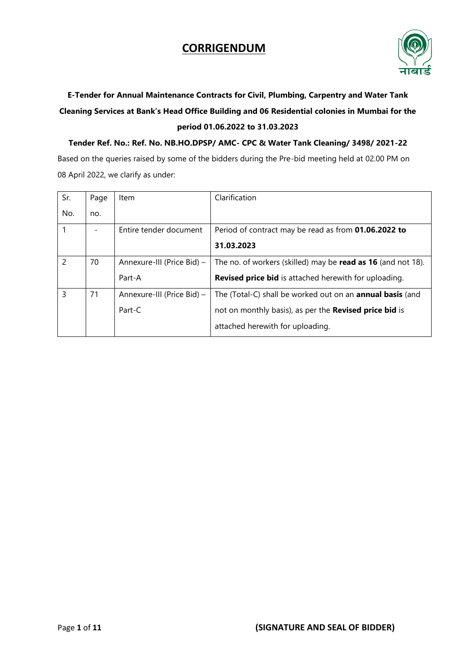

# **E-Tender for Annual Maintenance Contracts for Civil, Plumbing, Carpentry and Water Tank Cleaning Services at Bank's Head Office Building and 06 Residential colonies in Mumbai for the period 01.06.2022 to 31.03.2023**

**Tender Ref. No.: Ref. No. NB.HO.DPSP/ AMC- CPC & Water Tank Cleaning/ 3498/ 2021-22** Based on the queries raised by some of the bidders during the Pre-bid meeting held at 02.00 PM on 08 April 2022, we clarify as under:

| Sr. | Page | Item                       | Clarification                                                       |
|-----|------|----------------------------|---------------------------------------------------------------------|
| No. | no.  |                            |                                                                     |
|     |      | Entire tender document     | Period of contract may be read as from <b>01.06.2022 to</b>         |
|     |      |                            | 31.03.2023                                                          |
| 2   | 70   | Annexure-III (Price Bid) - | The no. of workers (skilled) may be <b>read as 16</b> (and not 18). |
|     |      | Part-A                     | <b>Revised price bid</b> is attached herewith for uploading.        |
| 3   | 71   | Annexure-III (Price Bid) - | The (Total-C) shall be worked out on an <b>annual basis</b> (and    |
|     |      | $Part-C$                   | not on monthly basis), as per the Revised price bid is              |
|     |      |                            | attached herewith for uploading.                                    |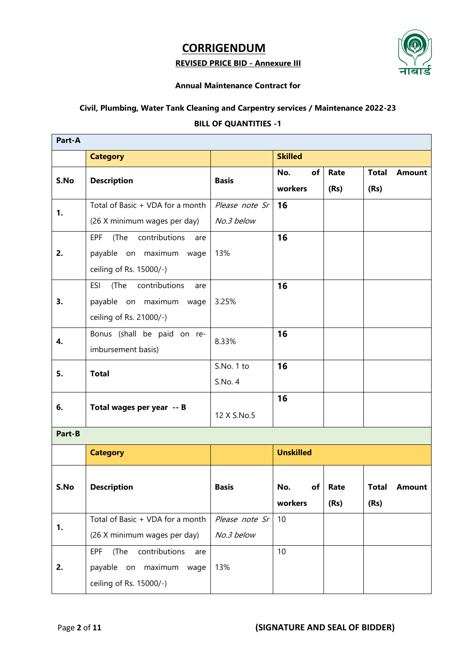#### **REVISED PRICE BID - Annexure III**



#### **Annual Maintenance Contract for**

### **Civil, Plumbing, Water Tank Cleaning and Carpentry services / Maintenance 2022-23**

#### **BILL OF QUANTITIES -1**

| Part-A |                                                                                                     |                              |                        |              |                      |               |
|--------|-----------------------------------------------------------------------------------------------------|------------------------------|------------------------|--------------|----------------------|---------------|
|        | <b>Category</b>                                                                                     |                              | <b>Skilled</b>         |              |                      |               |
| S.No   | <b>Description</b>                                                                                  | <b>Basis</b>                 | No.<br>of<br>workers   | Rate<br>(Rs) | <b>Total</b><br>(Rs) | <b>Amount</b> |
| 1.     | Total of Basic + VDA for a month<br>(26 X minimum wages per day)                                    | Please note Sr<br>No.3 below | 16                     |              |                      |               |
| 2.     | <b>EPF</b><br>(The<br>contributions<br>are<br>payable on maximum wage<br>ceiling of Rs. 15000/-)    | 13%                          | 16                     |              |                      |               |
| 3.     | (The<br>contributions<br><b>ESI</b><br>are<br>payable on maximum<br>wage<br>ceiling of Rs. 21000/-) | 3.25%                        | 16                     |              |                      |               |
| 4.     | Bonus (shall be paid on re-<br>imbursement basis)                                                   | 8.33%                        | 16                     |              |                      |               |
| 5.     | <b>Total</b>                                                                                        | S.No. 1 to<br>S.No. 4        | 16                     |              |                      |               |
| 6.     | Total wages per year -- B                                                                           | 12 X S.No.5                  | 16                     |              |                      |               |
| Part-B |                                                                                                     |                              |                        |              |                      |               |
|        | <b>Category</b>                                                                                     |                              | <b>Unskilled</b>       |              |                      |               |
| S.No   | <b>Description</b>                                                                                  | <b>Basis</b>                 | No.<br>of I<br>workers | Rate<br>(Rs) | <b>Total</b><br>(Rs) | <b>Amount</b> |
| 1.     | Total of Basic + VDA for a month<br>(26 X minimum wages per day)                                    | Please note Sr<br>No.3 below | 10                     |              |                      |               |
| 2.     | <b>EPF</b><br>contributions<br>(The<br>are<br>payable on maximum<br>wage<br>ceiling of Rs. 15000/-) | 13%                          | 10                     |              |                      |               |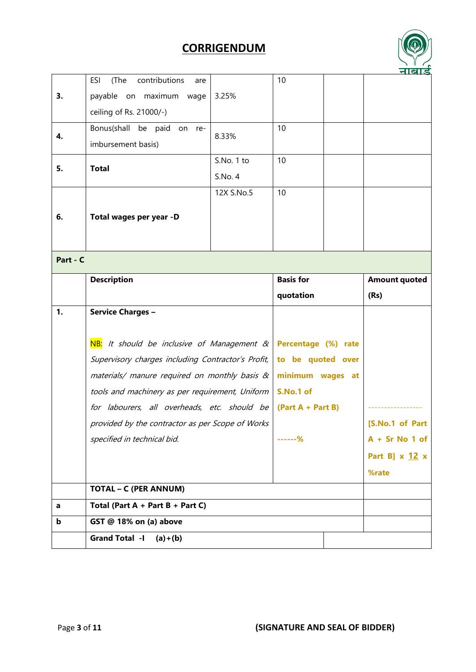

|                |                                                    |            |                     | 7191.5               |
|----------------|----------------------------------------------------|------------|---------------------|----------------------|
|                | contributions<br><b>ESI</b><br>(The<br>are         |            | 10                  |                      |
| 3.             | payable on maximum<br>wage                         | 3.25%      |                     |                      |
|                | ceiling of Rs. 21000/-)                            |            |                     |                      |
|                | Bonus(shall be paid on re-                         |            | 10                  |                      |
| 4.             | imbursement basis)                                 | 8.33%      |                     |                      |
|                |                                                    | S.No. 1 to | 10                  |                      |
| 5.             | <b>Total</b>                                       | S.No. 4    |                     |                      |
|                |                                                    | 12X S.No.5 | 10                  |                      |
|                |                                                    |            |                     |                      |
| 6.             | Total wages per year -D                            |            |                     |                      |
|                |                                                    |            |                     |                      |
| Part - C       |                                                    |            |                     |                      |
|                | <b>Description</b>                                 |            | <b>Basis for</b>    | <b>Amount quoted</b> |
|                |                                                    |            | quotation           | (Rs)                 |
|                |                                                    |            |                     |                      |
| $\mathbf{1}$ . | <b>Service Charges -</b>                           |            |                     |                      |
|                |                                                    |            |                     |                      |
|                | NB:<br>It should be inclusive of Management &      |            | Percentage (%) rate |                      |
|                | Supervisory charges including Contractor's Profit, |            | to be quoted over   |                      |
|                | materials/ manure required on monthly basis &      |            | minimum wages at    |                      |
|                | tools and machinery as per requirement, Uniform    |            | S.No.1 of           |                      |
|                | for labourers, all overheads, etc. should be       |            | $(Part A + Part B)$ |                      |
|                | provided by the contractor as per Scope of Works   |            |                     | [S.No.1 of Part      |
|                | specified in technical bid.                        |            | ------%             | $A + Sr$ No 1 of     |
|                |                                                    |            |                     | Part B] $x$ 12 $x$   |
|                |                                                    |            |                     | %rate                |
|                | <b>TOTAL - C (PER ANNUM)</b>                       |            |                     |                      |
| a              | Total (Part $A + Part B + Part C$ )                |            |                     |                      |
| b              | GST @ 18% on (a) above                             |            |                     |                      |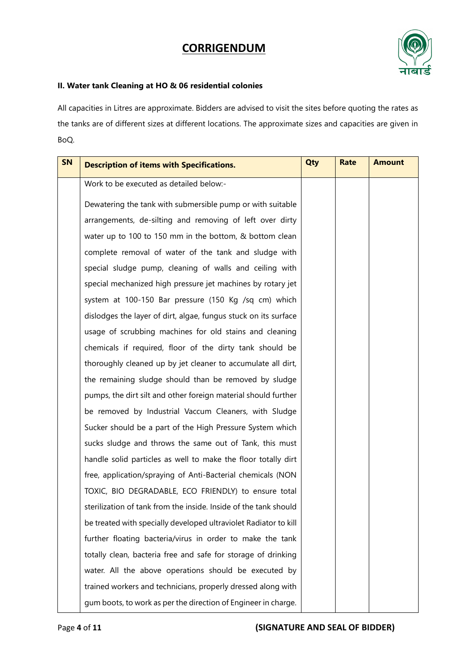

#### **II. Water tank Cleaning at HO & 06 residential colonies**

All capacities in Litres are approximate. Bidders are advised to visit the sites before quoting the rates as the tanks are of different sizes at different locations. The approximate sizes and capacities are given in BoQ.

| SN | <b>Description of items with Specifications.</b>                 | Qty | <b>Rate</b> | <b>Amount</b> |
|----|------------------------------------------------------------------|-----|-------------|---------------|
|    | Work to be executed as detailed below:-                          |     |             |               |
|    | Dewatering the tank with submersible pump or with suitable       |     |             |               |
|    | arrangements, de-silting and removing of left over dirty         |     |             |               |
|    | water up to 100 to 150 mm in the bottom, & bottom clean          |     |             |               |
|    | complete removal of water of the tank and sludge with            |     |             |               |
|    | special sludge pump, cleaning of walls and ceiling with          |     |             |               |
|    | special mechanized high pressure jet machines by rotary jet      |     |             |               |
|    | system at 100-150 Bar pressure (150 Kg /sq cm) which             |     |             |               |
|    | dislodges the layer of dirt, algae, fungus stuck on its surface  |     |             |               |
|    | usage of scrubbing machines for old stains and cleaning          |     |             |               |
|    | chemicals if required, floor of the dirty tank should be         |     |             |               |
|    | thoroughly cleaned up by jet cleaner to accumulate all dirt,     |     |             |               |
|    | the remaining sludge should than be removed by sludge            |     |             |               |
|    | pumps, the dirt silt and other foreign material should further   |     |             |               |
|    | be removed by Industrial Vaccum Cleaners, with Sludge            |     |             |               |
|    | Sucker should be a part of the High Pressure System which        |     |             |               |
|    | sucks sludge and throws the same out of Tank, this must          |     |             |               |
|    | handle solid particles as well to make the floor totally dirt    |     |             |               |
|    | free, application/spraying of Anti-Bacterial chemicals (NON      |     |             |               |
|    | TOXIC, BIO DEGRADABLE, ECO FRIENDLY) to ensure total             |     |             |               |
|    | sterilization of tank from the inside. Inside of the tank should |     |             |               |
|    | be treated with specially developed ultraviolet Radiator to kill |     |             |               |
|    | further floating bacteria/virus in order to make the tank        |     |             |               |
|    | totally clean, bacteria free and safe for storage of drinking    |     |             |               |
|    | water. All the above operations should be executed by            |     |             |               |
|    | trained workers and technicians, properly dressed along with     |     |             |               |
|    | gum boots, to work as per the direction of Engineer in charge.   |     |             |               |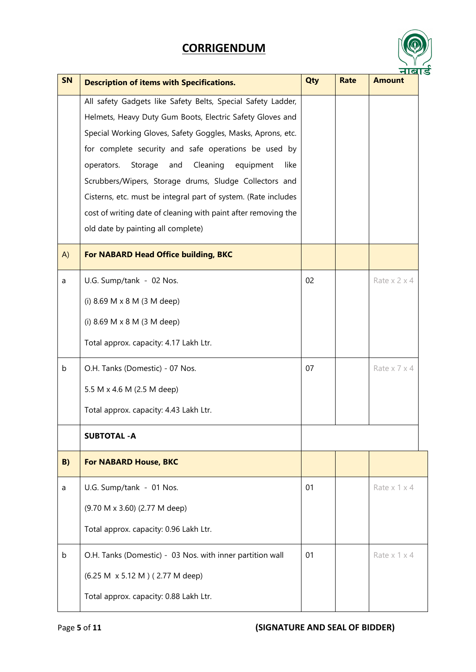| ౚ |  |
|---|--|

| <b>SN</b> |                                                                | Qty | <b>Rate</b> | <u>नाबा</u> .<br><b>Amount</b> |
|-----------|----------------------------------------------------------------|-----|-------------|--------------------------------|
|           | <b>Description of items with Specifications.</b>               |     |             |                                |
|           | All safety Gadgets like Safety Belts, Special Safety Ladder,   |     |             |                                |
|           | Helmets, Heavy Duty Gum Boots, Electric Safety Gloves and      |     |             |                                |
|           | Special Working Gloves, Safety Goggles, Masks, Aprons, etc.    |     |             |                                |
|           | for complete security and safe operations be used by           |     |             |                                |
|           | Cleaning<br>equipment<br>operators.<br>Storage<br>and<br>like  |     |             |                                |
|           | Scrubbers/Wipers, Storage drums, Sludge Collectors and         |     |             |                                |
|           | Cisterns, etc. must be integral part of system. (Rate includes |     |             |                                |
|           | cost of writing date of cleaning with paint after removing the |     |             |                                |
|           | old date by painting all complete)                             |     |             |                                |
| A)        | <b>For NABARD Head Office building, BKC</b>                    |     |             |                                |
| a         | U.G. Sump/tank - 02 Nos.                                       | 02  |             | Rate $x$ 2 $x$ 4               |
|           | (i) 8.69 M x 8 M (3 M deep)                                    |     |             |                                |
|           | (i) 8.69 M x 8 M (3 M deep)                                    |     |             |                                |
|           | Total approx. capacity: 4.17 Lakh Ltr.                         |     |             |                                |
| b         | O.H. Tanks (Domestic) - 07 Nos.                                | 07  |             | Rate x 7 x 4                   |
|           | 5.5 M x 4.6 M (2.5 M deep)                                     |     |             |                                |
|           | Total approx. capacity: 4.43 Lakh Ltr.                         |     |             |                                |
|           | <b>SUBTOTAL - A</b>                                            |     |             |                                |
| B)        | <b>For NABARD House, BKC</b>                                   |     |             |                                |
| a         | U.G. Sump/tank - 01 Nos.                                       | 01  |             | Rate $x$ 1 $x$ 4               |
|           | (9.70 M x 3.60) (2.77 M deep)                                  |     |             |                                |
|           | Total approx. capacity: 0.96 Lakh Ltr.                         |     |             |                                |
| b         | O.H. Tanks (Domestic) - 03 Nos. with inner partition wall      | 01  |             | Rate $x$ 1 $x$ 4               |
|           | (6.25 M x 5.12 M) (2.77 M deep)                                |     |             |                                |
|           | Total approx. capacity: 0.88 Lakh Ltr.                         |     |             |                                |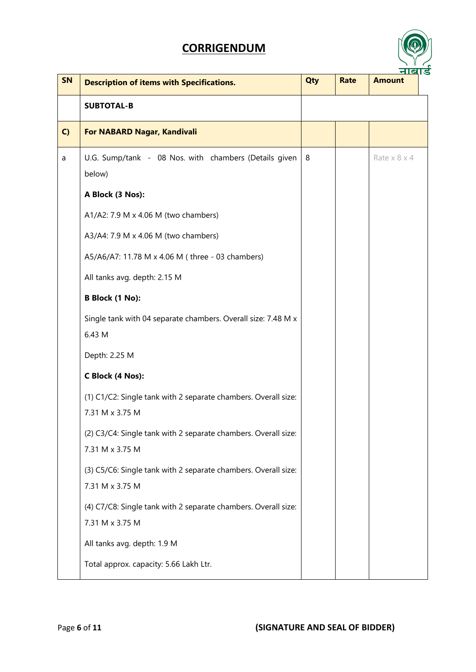

| <b>SN</b> | <b>Description of items with Specifications.</b>                                  | Qty | <b>Rate</b> | <u>नाब</u> ।ड<br><b>Amount</b> |
|-----------|-----------------------------------------------------------------------------------|-----|-------------|--------------------------------|
|           | <b>SUBTOTAL-B</b>                                                                 |     |             |                                |
| C)        | For NABARD Nagar, Kandivali                                                       |     |             |                                |
| a         | U.G. Sump/tank - 08 Nos. with chambers (Details given<br>below)                   | 8   |             | Rate $x 8 x 4$                 |
|           | A Block (3 Nos):                                                                  |     |             |                                |
|           | A1/A2: 7.9 M x 4.06 M (two chambers)                                              |     |             |                                |
|           | A3/A4: 7.9 M x 4.06 M (two chambers)                                              |     |             |                                |
|           | A5/A6/A7: 11.78 M x 4.06 M (three - 03 chambers)                                  |     |             |                                |
|           | All tanks avg. depth: 2.15 M                                                      |     |             |                                |
|           | <b>B Block (1 No):</b>                                                            |     |             |                                |
|           | Single tank with 04 separate chambers. Overall size: 7.48 M x<br>6.43 M           |     |             |                                |
|           | Depth: 2.25 M                                                                     |     |             |                                |
|           | C Block (4 Nos):                                                                  |     |             |                                |
|           | (1) C1/C2: Single tank with 2 separate chambers. Overall size:<br>7.31 M x 3.75 M |     |             |                                |
|           | (2) C3/C4: Single tank with 2 separate chambers. Overall size:<br>7.31 M x 3.75 M |     |             |                                |
|           | (3) C5/C6: Single tank with 2 separate chambers. Overall size:<br>7.31 M x 3.75 M |     |             |                                |
|           | (4) C7/C8: Single tank with 2 separate chambers. Overall size:<br>7.31 M x 3.75 M |     |             |                                |
|           | All tanks avg. depth: 1.9 M                                                       |     |             |                                |
|           | Total approx. capacity: 5.66 Lakh Ltr.                                            |     |             |                                |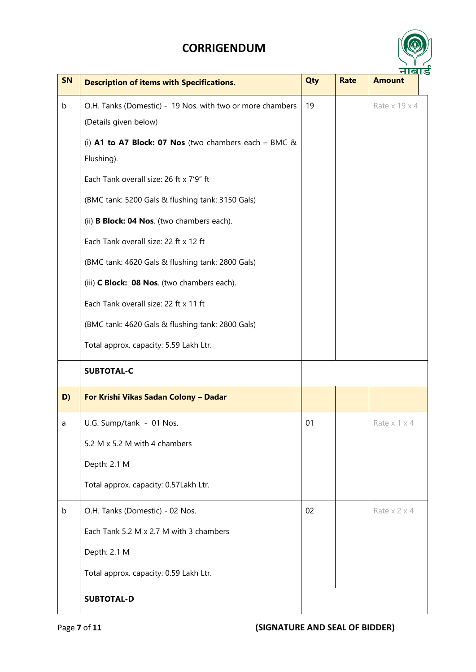

| SN          | <b>Description of items with Specifications.</b>                                   | Qty | <b>Rate</b> | <u>नाब</u> ।ड<br><b>Amount</b> |
|-------------|------------------------------------------------------------------------------------|-----|-------------|--------------------------------|
| $\mathsf b$ | O.H. Tanks (Domestic) - 19 Nos. with two or more chambers<br>(Details given below) | 19  |             | Rate x 19 x 4                  |
|             | (i) A1 to A7 Block: 07 Nos (two chambers each $-$ BMC &<br>Flushing).              |     |             |                                |
|             | Each Tank overall size: 26 ft x 7'9" ft                                            |     |             |                                |
|             | (BMC tank: 5200 Gals & flushing tank: 3150 Gals)                                   |     |             |                                |
|             | (ii) <b>B Block: 04 Nos</b> . (two chambers each).                                 |     |             |                                |
|             | Each Tank overall size: 22 ft x 12 ft                                              |     |             |                                |
|             | (BMC tank: 4620 Gals & flushing tank: 2800 Gals)                                   |     |             |                                |
|             | (iii) C Block: 08 Nos. (two chambers each).                                        |     |             |                                |
|             | Each Tank overall size: 22 ft x 11 ft                                              |     |             |                                |
|             | (BMC tank: 4620 Gals & flushing tank: 2800 Gals)                                   |     |             |                                |
|             | Total approx. capacity: 5.59 Lakh Ltr.                                             |     |             |                                |
|             | <b>SUBTOTAL-C</b>                                                                  |     |             |                                |
| D)          | For Krishi Vikas Sadan Colony - Dadar                                              |     |             |                                |
| a           | U.G. Sump/tank - 01 Nos.                                                           | 01  |             | Rate $x$ 1 $x$ 4               |
|             | 5.2 M x 5.2 M with 4 chambers                                                      |     |             |                                |
|             | Depth: 2.1 M                                                                       |     |             |                                |
|             | Total approx. capacity: 0.57Lakh Ltr.                                              |     |             |                                |
| $\mathsf b$ | O.H. Tanks (Domestic) - 02 Nos.                                                    | 02  |             | Rate $x$ 2 $x$ 4               |
|             | Each Tank 5.2 M x 2.7 M with 3 chambers                                            |     |             |                                |
|             | Depth: 2.1 M                                                                       |     |             |                                |
|             | Total approx. capacity: 0.59 Lakh Ltr.                                             |     |             |                                |
|             | <b>SUBTOTAL-D</b>                                                                  |     |             |                                |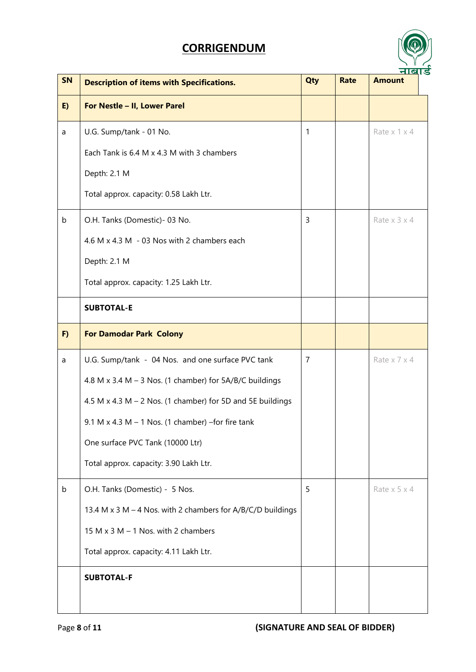

| SN          | <b>Description of items with Specifications.</b>                  | Qty            | <b>Rate</b> | ण्लाङ<br><b>Amount</b>    |
|-------------|-------------------------------------------------------------------|----------------|-------------|---------------------------|
| E)          | For Nestle - II, Lower Parel                                      |                |             |                           |
| a           | U.G. Sump/tank - 01 No.                                           | 1              |             | Rate x 1 x 4              |
|             | Each Tank is 6.4 M x 4.3 M with 3 chambers                        |                |             |                           |
|             | Depth: 2.1 M                                                      |                |             |                           |
|             | Total approx. capacity: 0.58 Lakh Ltr.                            |                |             |                           |
| $\mathsf b$ | O.H. Tanks (Domestic) - 03 No.                                    | 3              |             | Rate $x$ 3 $x$ 4          |
|             | 4.6 M x 4.3 M - 03 Nos with 2 chambers each                       |                |             |                           |
|             | Depth: 2.1 M                                                      |                |             |                           |
|             | Total approx. capacity: 1.25 Lakh Ltr.                            |                |             |                           |
|             | <b>SUBTOTAL-E</b>                                                 |                |             |                           |
| F)          | <b>For Damodar Park Colony</b>                                    |                |             |                           |
| a           | U.G. Sump/tank - 04 Nos. and one surface PVC tank                 | $\overline{7}$ |             | Rate $x \overline{7} x 4$ |
|             | 4.8 M x 3.4 M - 3 Nos. (1 chamber) for 5A/B/C buildings           |                |             |                           |
|             | 4.5 M $\times$ 4.3 M – 2 Nos. (1 chamber) for 5D and 5E buildings |                |             |                           |
|             | $9.1 M x 4.3 M - 1 Nos.$ (1 chamber) -for fire tank               |                |             |                           |
|             | One surface PVC Tank (10000 Ltr)                                  |                |             |                           |
|             | Total approx. capacity: 3.90 Lakh Ltr.                            |                |             |                           |
| b           | O.H. Tanks (Domestic) - 5 Nos.                                    | 5              |             | Rate $x 5 x 4$            |
|             | 13.4 M x 3 M - 4 Nos. with 2 chambers for A/B/C/D buildings       |                |             |                           |
|             | 15 M $\times$ 3 M $-$ 1 Nos. with 2 chambers                      |                |             |                           |
|             | Total approx. capacity: 4.11 Lakh Ltr.                            |                |             |                           |
|             | <b>SUBTOTAL-F</b>                                                 |                |             |                           |
|             |                                                                   |                |             |                           |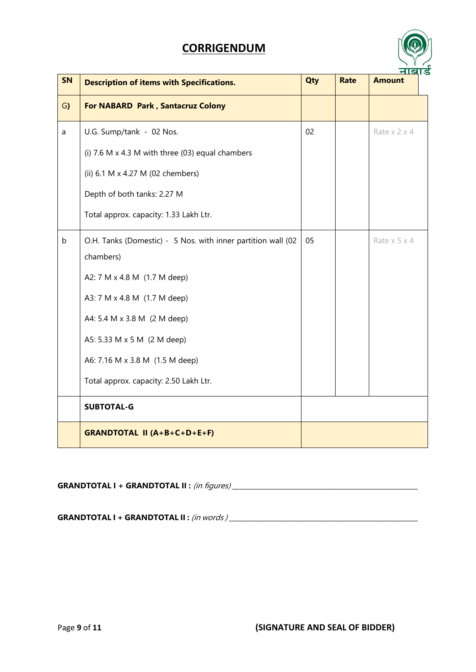

| SN          | <b>Description of items with Specifications.</b>             | Qty | <b>Rate</b> | <u>नाब</u> ।ड<br><b>Amount</b> |
|-------------|--------------------------------------------------------------|-----|-------------|--------------------------------|
| G)          | <b>For NABARD Park, Santacruz Colony</b>                     |     |             |                                |
| a           | U.G. Sump/tank - 02 Nos.                                     | 02  |             | Rate $x$ 2 $x$ 4               |
|             | (i) 7.6 M $\times$ 4.3 M with three (03) equal chambers      |     |             |                                |
|             | (ii) 6.1 M x 4.27 M (02 chembers)                            |     |             |                                |
|             | Depth of both tanks: 2.27 M                                  |     |             |                                |
|             | Total approx. capacity: 1.33 Lakh Ltr.                       |     |             |                                |
| $\mathsf b$ | O.H. Tanks (Domestic) - 5 Nos. with inner partition wall (02 | 05  |             | Rate $x 5 x 4$                 |
|             | chambers)                                                    |     |             |                                |
|             | A2: 7 M x 4.8 M (1.7 M deep)                                 |     |             |                                |
|             | A3: 7 M x 4.8 M (1.7 M deep)                                 |     |             |                                |
|             | A4: 5.4 M x 3.8 M (2 M deep)                                 |     |             |                                |
|             | A5: 5.33 M x 5 M (2 M deep)                                  |     |             |                                |
|             | A6: 7.16 M x 3.8 M (1.5 M deep)                              |     |             |                                |
|             | Total approx. capacity: 2.50 Lakh Ltr.                       |     |             |                                |
|             | <b>SUBTOTAL-G</b>                                            |     |             |                                |
|             | <b>GRANDTOTAL II (A+B+C+D+E+F)</b>                           |     |             |                                |

**GRANDTOTAL I + GRANDTOTAL II :** (in figures) \_\_\_\_\_\_\_\_\_\_\_\_\_\_\_\_\_\_\_\_\_\_\_\_\_\_\_\_\_\_\_\_\_\_\_\_\_\_\_\_\_\_\_\_\_\_\_\_\_\_\_\_\_\_\_\_

**GRANDTOTAL I + GRANDTOTAL II :** (in words ) \_\_\_\_\_\_\_\_\_\_\_\_\_\_\_\_\_\_\_\_\_\_\_\_\_\_\_\_\_\_\_\_\_\_\_\_\_\_\_\_\_\_\_\_\_\_\_\_\_\_\_\_\_\_\_\_\_

Page **9** of **11 (SIGNATURE AND SEAL OF BIDDER)**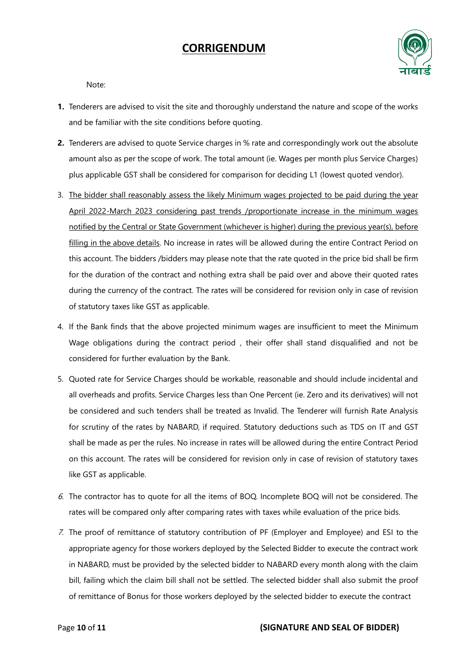

Note:

- **1.** Tenderers are advised to visit the site and thoroughly understand the nature and scope of the works and be familiar with the site conditions before quoting.
- **2.** Tenderers are advised to quote Service charges in % rate and correspondingly work out the absolute amount also as per the scope of work. The total amount (ie. Wages per month plus Service Charges) plus applicable GST shall be considered for comparison for deciding L1 (lowest quoted vendor).
- 3. The bidder shall reasonably assess the likely Minimum wages projected to be paid during the year April 2022-March 2023 considering past trends /proportionate increase in the minimum wages notified by the Central or State Government (whichever is higher) during the previous year(s), before filling in the above details. No increase in rates will be allowed during the entire Contract Period on this account. The bidders /bidders may please note that the rate quoted in the price bid shall be firm for the duration of the contract and nothing extra shall be paid over and above their quoted rates during the currency of the contract. The rates will be considered for revision only in case of revision of statutory taxes like GST as applicable.
- 4. If the Bank finds that the above projected minimum wages are insufficient to meet the Minimum Wage obligations during the contract period , their offer shall stand disqualified and not be considered for further evaluation by the Bank.
- 5. Quoted rate for Service Charges should be workable, reasonable and should include incidental and all overheads and profits. Service Charges less than One Percent (ie. Zero and its derivatives) will not be considered and such tenders shall be treated as Invalid. The Tenderer will furnish Rate Analysis for scrutiny of the rates by NABARD, if required. Statutory deductions such as TDS on IT and GST shall be made as per the rules. No increase in rates will be allowed during the entire Contract Period on this account. The rates will be considered for revision only in case of revision of statutory taxes like GST as applicable.
- 6. The contractor has to quote for all the items of BOQ. Incomplete BOQ will not be considered. The rates will be compared only after comparing rates with taxes while evaluation of the price bids.
- 7. The proof of remittance of statutory contribution of PF (Employer and Employee) and ESI to the appropriate agency for those workers deployed by the Selected Bidder to execute the contract work in NABARD, must be provided by the selected bidder to NABARD every month along with the claim bill, failing which the claim bill shall not be settled. The selected bidder shall also submit the proof of remittance of Bonus for those workers deployed by the selected bidder to execute the contract